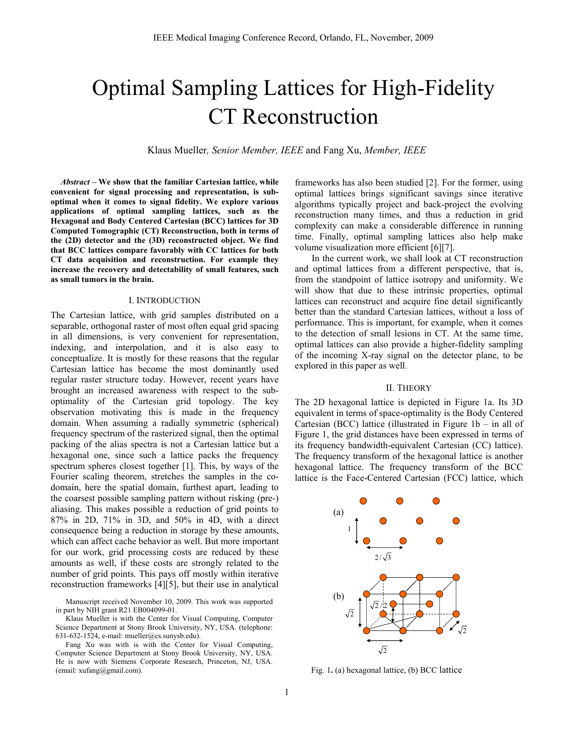# Optimal Sampling Lattices for High-Fidelity CT Reconstruction

Klaus Mueller*, Senior Member, IEEE* and Fang Xu, *Member, IEEE*

*Abstract* **– We show that the familiar Cartesian lattice, while convenient for signal processing and representation, is suboptimal when it comes to signal fidelity. We explore various applications of optimal sampling lattices, such as the Hexagonal and Body Centered Cartesian (BCC) lattices for 3D Computed Tomographic (CT) Reconstruction, both in terms of the (2D) detector and the (3D) reconstructed object. We find that BCC lattices compare favorably with CC lattices for both CT data acquisition and reconstruction. For example they increase the recovery and detectability of small features, such as small tumors in the brain.**

## I. INTRODUCTION

The Cartesian lattice, with grid samples distributed on a separable, orthogonal raster of most often equal grid spacing in all dimensions, is very convenient for representation, indexing, and interpolation, and it is also easy to conceptualize. It is mostly for these reasons that the regular Cartesian lattice has become the most dominantly used regular raster structure today. However, recent years have brought an increased awareness with respect to the suboptimality of the Cartesian grid topology. The key observation motivating this is made in the frequency domain. When assuming a radially symmetric (spherical) frequency spectrum of the rasterized signal, then the optimal packing of the alias spectra is not a Cartesian lattice but a hexagonal one, since such a lattice packs the frequency spectrum spheres closest together [1]. This, by ways of the Fourier scaling theorem, stretches the samples in the codomain, here the spatial domain, furthest apart, leading to the coarsest possible sampling pattern without risking (pre-) aliasing. This makes possible a reduction of grid points to 87% in 2D, 71% in 3D, and 50% in 4D, with a direct consequence being a reduction in storage by these amounts, which can affect cache behavior as well. But more important for our work, grid processing costs are reduced by these amounts as well, if these costs are strongly related to the number of grid points. This pays off mostly within iterative reconstruction frameworks [4][5], but their use in analytical

Manuscript received November 10, 2009. This work was supported in part by NIH grant R21 EB004099-01.

Klaus Mueller is with the Center for Visual Computing, Computer Science Department at Stony Brook University, NY, USA. (telephone: 631-632-1524, e-mail: mueller@cs.sunysb.edu).

Fang Xu was with is with the Center for Visual Computing, Computer Science Department at Stony Brook University, NY, USA. He is now with Siemens Corporate Research, Princeton, NJ, USA. (email: xufang@gmail.com). Fig. 1**.** (a) hexagonal lattice, (b) BCC lattice

frameworks has also been studied [2]. For the former, using optimal lattices brings significant savings since iterative algorithms typically project and back-project the evolving reconstruction many times, and thus a reduction in grid complexity can make a considerable difference in running time. Finally, optimal sampling lattices also help make volume visualization more efficient [6][7].

In the current work, we shall look at CT reconstruction and optimal lattices from a different perspective, that is, from the standpoint of lattice isotropy and uniformity. We will show that due to these intrinsic properties, optimal lattices can reconstruct and acquire fine detail significantly better than the standard Cartesian lattices, without a loss of performance. This is important, for example, when it comes to the detection of small lesions in CT. At the same time, optimal lattices can also provide a higher-fidelity sampling of the incoming X-ray signal on the detector plane, to be explored in this paper as well.

# II. THEORY

The 2D hexagonal lattice is depicted in Figure 1a. Its 3D equivalent in terms of space-optimality is the Body Centered Cartesian (BCC) lattice (illustrated in Figure  $1b - in$  all of Figure 1, the grid distances have been expressed in terms of its frequency bandwidth-equivalent Cartesian (CC) lattice). The frequency transform of the hexagonal lattice is another hexagonal lattice. The frequency transform of the BCC lattice is the Face-Centered Cartesian (FCC) lattice, which

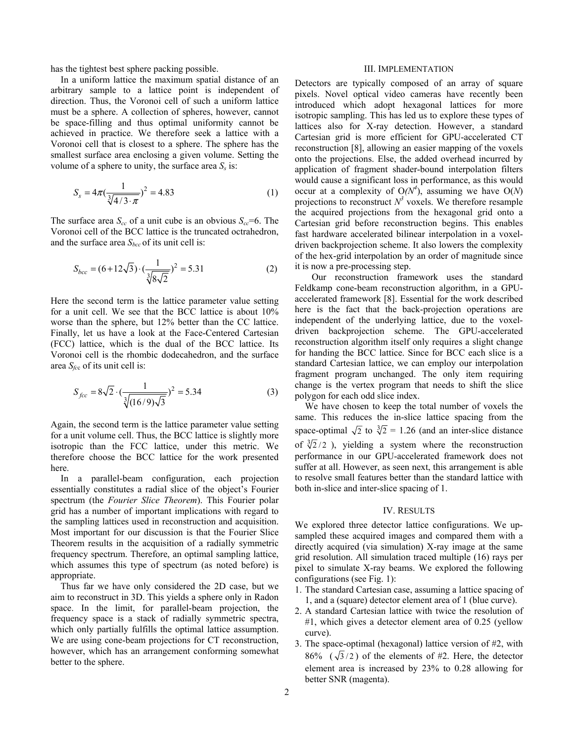has the tightest best sphere packing possible.

In a uniform lattice the maximum spatial distance of an arbitrary sample to a lattice point is independent of direction. Thus, the Voronoi cell of such a uniform lattice must be a sphere. A collection of spheres, however, cannot be space-filling and thus optimal uniformity cannot be achieved in practice. We therefore seek a lattice with a Voronoi cell that is closest to a sphere. The sphere has the smallest surface area enclosing a given volume. Setting the volume of a sphere to unity, the surface area  $S_s$  is:

$$
S_s = 4\pi \left(\frac{1}{\sqrt[3]{4/3 \cdot \pi}}\right)^2 = 4.83\tag{1}
$$

The surface area  $S_{cc}$  of a unit cube is an obvious  $S_{cc} = 6$ . The Voronoi cell of the BCC lattice is the truncated octrahedron, and the surface area  $S_{bcc}$  of its unit cell is:

$$
S_{bcc} = (6 + 12\sqrt{3}) \cdot \left(\frac{1}{\sqrt[3]{8\sqrt{2}}}\right)^2 = 5.31\tag{2}
$$

Here the second term is the lattice parameter value setting for a unit cell. We see that the BCC lattice is about 10% worse than the sphere, but 12% better than the CC lattice. Finally, let us have a look at the Face-Centered Cartesian (FCC) lattice, which is the dual of the BCC lattice. Its Voronoi cell is the rhombic dodecahedron, and the surface area  $S_{\text{fcc}}$  of its unit cell is:

$$
S_{fcc} = 8\sqrt{2} \cdot \left(\frac{1}{\sqrt[3]{(16/9)\sqrt{3}}}\right)^2 = 5.34\tag{3}
$$

Again, the second term is the lattice parameter value setting for a unit volume cell. Thus, the BCC lattice is slightly more isotropic than the FCC lattice, under this metric. We therefore choose the BCC lattice for the work presented here.

In a parallel-beam configuration, each projection essentially constitutes a radial slice of the object's Fourier spectrum (the *Fourier Slice Theorem*). This Fourier polar grid has a number of important implications with regard to the sampling lattices used in reconstruction and acquisition. Most important for our discussion is that the Fourier Slice Theorem results in the acquisition of a radially symmetric frequency spectrum. Therefore, an optimal sampling lattice, which assumes this type of spectrum (as noted before) is appropriate.

Thus far we have only considered the 2D case, but we aim to reconstruct in 3D. This yields a sphere only in Radon space. In the limit, for parallel-beam projection, the frequency space is a stack of radially symmetric spectra, which only partially fulfills the optimal lattice assumption. We are using cone-beam projections for CT reconstruction, however, which has an arrangement conforming somewhat better to the sphere.

#### III. IMPLEMENTATION

Detectors are typically composed of an array of square pixels. Novel optical video cameras have recently been introduced which adopt hexagonal lattices for more isotropic sampling. This has led us to explore these types of lattices also for X-ray detection. However, a standard Cartesian grid is more efficient for GPU-accelerated CT reconstruction [8], allowing an easier mapping of the voxels onto the projections. Else, the added overhead incurred by application of fragment shader-bound interpolation filters would cause a significant loss in performance, as this would occur at a complexity of  $O(N^4)$ , assuming we have  $O(N)$ projections to reconstruct  $N^3$  voxels. We therefore resample the acquired projections from the hexagonal grid onto a Cartesian grid before reconstruction begins. This enables fast hardware accelerated bilinear interpolation in a voxeldriven backprojection scheme. It also lowers the complexity of the hex-grid interpolation by an order of magnitude since it is now a pre-processing step.

Our reconstruction framework uses the standard Feldkamp cone-beam reconstruction algorithm, in a GPUaccelerated framework [8]. Essential for the work described here is the fact that the back-projection operations are independent of the underlying lattice, due to the voxeldriven backprojection scheme. The GPU-accelerated reconstruction algorithm itself only requires a slight change for handing the BCC lattice. Since for BCC each slice is a standard Cartesian lattice, we can employ our interpolation fragment program unchanged. The only item requiring change is the vertex program that needs to shift the slice polygon for each odd slice index.

We have chosen to keep the total number of voxels the same. This reduces the in-slice lattice spacing from the space-optimal  $\sqrt{2}$  to  $\sqrt[3]{2}$  = 1.26 (and an inter-slice distance of  $\sqrt[3]{2}/2$ ), yielding a system where the reconstruction performance in our GPU-accelerated framework does not suffer at all. However, as seen next, this arrangement is able to resolve small features better than the standard lattice with both in-slice and inter-slice spacing of 1.

## IV. RESULTS

We explored three detector lattice configurations. We upsampled these acquired images and compared them with a directly acquired (via simulation) X-ray image at the same grid resolution. All simulation traced multiple (16) rays per pixel to simulate X-ray beams. We explored the following configurations (see Fig. 1):

- 1. The standard Cartesian case, assuming a lattice spacing of 1, and a (square) detector element area of 1 (blue curve).
- 2. A standard Cartesian lattice with twice the resolution of #1, which gives a detector element area of 0.25 (yellow curve).
- 3. The space-optimal (hexagonal) lattice version of #2, with 86% ( $\sqrt{3}/2$ ) of the elements of #2. Here, the detector element area is increased by 23% to 0.28 allowing for better SNR (magenta).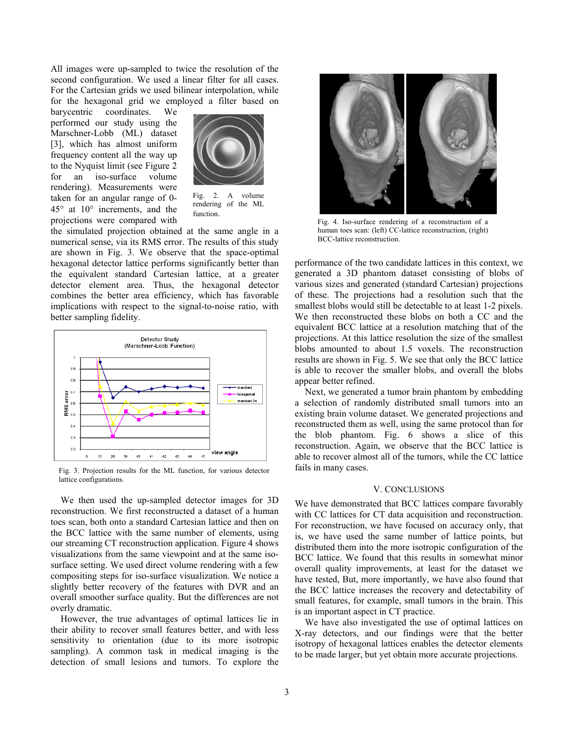All images were up-sampled to twice the resolution of the second configuration. We used a linear filter for all cases. For the Cartesian grids we used bilinear interpolation, while for the hexagonal grid we employed a filter based on

barycentric coordinates. We performed our study using the Marschner-Lobb (ML) dataset [3], which has almost uniform frequency content all the way up to the Nyquist limit (see Figure 2 for an iso-surface volume rendering). Measurements were taken for an angular range of 0- 45° at 10° increments, and the projections were compared with



Fig. 2. A volume rendering of the ML function.

the simulated projection obtained at the same angle in a numerical sense, via its RMS error. The results of this study are shown in Fig. 3. We observe that the space-optimal hexagonal detector lattice performs significantly better than the equivalent standard Cartesian lattice, at a greater detector element area. Thus, the hexagonal detector combines the better area efficiency, which has favorable implications with respect to the signal-to-noise ratio, with better sampling fidelity.



Fig. 3. Projection results for the ML function, for various detector lattice configurations.

We then used the up-sampled detector images for 3D reconstruction. We first reconstructed a dataset of a human toes scan, both onto a standard Cartesian lattice and then on the BCC lattice with the same number of elements, using our streaming CT reconstruction application. Figure 4 shows visualizations from the same viewpoint and at the same isosurface setting. We used direct volume rendering with a few compositing steps for iso-surface visualization. We notice a slightly better recovery of the features with DVR and an overall smoother surface quality. But the differences are not overly dramatic.

However, the true advantages of optimal lattices lie in their ability to recover small features better, and with less sensitivity to orientation (due to its more isotropic sampling). A common task in medical imaging is the detection of small lesions and tumors. To explore the



Fig. 4. Iso-surface rendering of a reconstruction of a human toes scan: (left) CC-lattice reconstruction, (right) BCC-lattice reconstruction.

performance of the two candidate lattices in this context, we generated a 3D phantom dataset consisting of blobs of various sizes and generated (standard Cartesian) projections of these. The projections had a resolution such that the smallest blobs would still be detectable to at least 1-2 pixels. We then reconstructed these blobs on both a CC and the equivalent BCC lattice at a resolution matching that of the projections. At this lattice resolution the size of the smallest blobs amounted to about 1.5 voxels. The reconstruction results are shown in Fig. 5. We see that only the BCC lattice is able to recover the smaller blobs, and overall the blobs appear better refined.

Next, we generated a tumor brain phantom by embedding a selection of randomly distributed small tumors into an existing brain volume dataset. We generated projections and reconstructed them as well, using the same protocol than for the blob phantom. Fig. 6 shows a slice of this reconstruction. Again, we observe that the BCC lattice is able to recover almost all of the tumors, while the CC lattice fails in many cases.

# V. CONCLUSIONS

We have demonstrated that BCC lattices compare favorably with CC lattices for CT data acquisition and reconstruction. For reconstruction, we have focused on accuracy only, that is, we have used the same number of lattice points, but distributed them into the more isotropic configuration of the BCC lattice. We found that this results in somewhat minor overall quality improvements, at least for the dataset we have tested, But, more importantly, we have also found that the BCC lattice increases the recovery and detectability of small features, for example, small tumors in the brain. This is an important aspect in CT practice.

We have also investigated the use of optimal lattices on X-ray detectors, and our findings were that the better isotropy of hexagonal lattices enables the detector elements to be made larger, but yet obtain more accurate projections.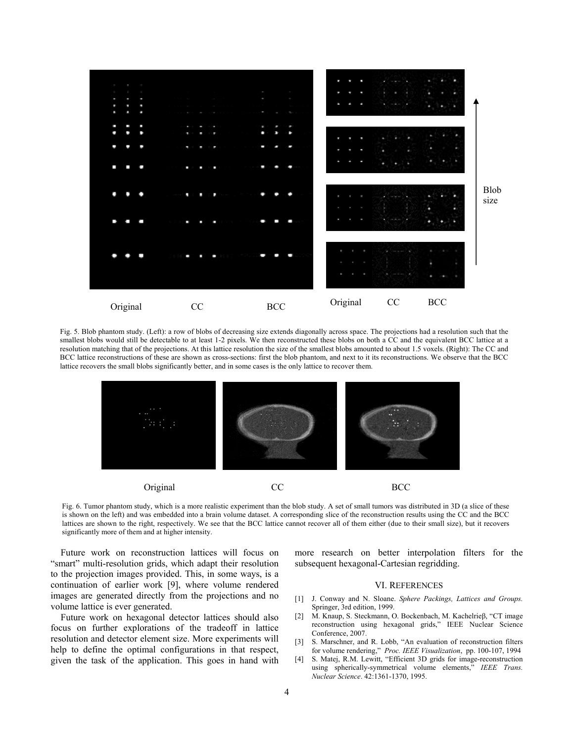

Fig. 5. Blob phantom study. (Left): a row of blobs of decreasing size extends diagonally across space. The projections had a resolution such that the smallest blobs would still be detectable to at least 1-2 pixels. We then reconstructed these blobs on both a CC and the equivalent BCC lattice at a resolution matching that of the projections. At this lattice resolution the size of the smallest blobs amounted to about 1.5 voxels. (Right): The CC and BCC lattice reconstructions of these are shown as cross-sections: first the blob phantom, and next to it its reconstructions. We observe that the BCC lattice recovers the small blobs significantly better, and in some cases is the only lattice to recover them.



Fig. 6. Tumor phantom study, which is a more realistic experiment than the blob study. A set of small tumors was distributed in 3D (a slice of these is shown on the left) and was embedded into a brain volume dataset. A corresponding slice of the reconstruction results using the CC and the BCC lattices are shown to the right, respectively. We see that the BCC lattice cannot recover all of them either (due to their small size), but it recovers significantly more of them and at higher intensity.

Future work on reconstruction lattices will focus on "smart" multi-resolution grids, which adapt their resolution to the projection images provided. This, in some ways, is a continuation of earlier work [9], where volume rendered images are generated directly from the projections and no volume lattice is ever generated.

Future work on hexagonal detector lattices should also focus on further explorations of the tradeoff in lattice resolution and detector element size. More experiments will help to define the optimal configurations in that respect, given the task of the application. This goes in hand with

more research on better interpolation filters for the subsequent hexagonal-Cartesian regridding.

# VI. REFERENCES

- [1] J. Conway and N. Sloane. *Sphere Packings, Lattices and Groups.* Springer, 3rd edition, 1999.
- [2] M. Knaup, S. Steckmann, O. Bockenbach, M. Kachelrieβ, "CT image reconstruction using hexagonal grids," IEEE Nuclear Science Conference, 2007.
- [3] S. Marschner, and R. Lobb, "An evaluation of reconstruction filters for volume rendering," *Proc. IEEE Visualization*, pp. 100-107, 1994
- [4] S. Matej, R.M. Lewitt, "Efficient 3D grids for image-reconstruction using spherically-symmetrical volume elements," *IEEE Trans. Nuclear Science*. 42:1361-1370, 1995.